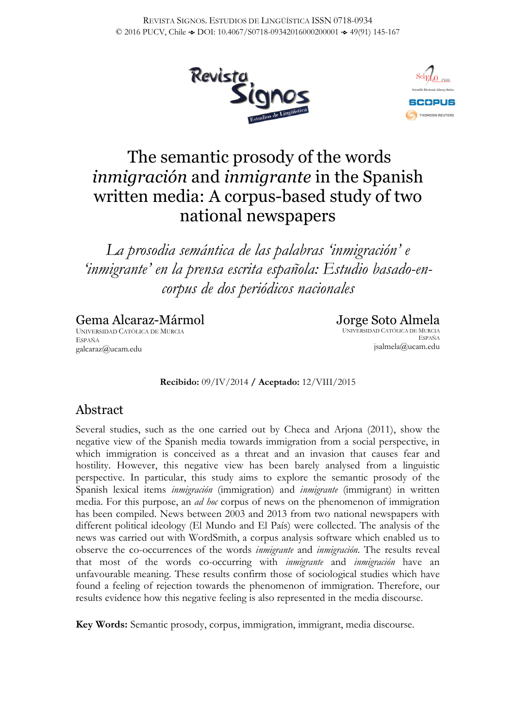



# The semantic prosody of the words *inmigración* and *inmigrante* in the Spanish written media: A corpus-based study of two national newspapers

*La prosodia semántica de las palabras 'inmigración' e 'inmigrante' en la prensa escrita española: Estudio basado-encorpus de dos periódicos nacionales*

Gema Alcaraz-Mármol UNIVERSIDAD CATÓLICA DE MURCIA ESPAÑA galcaraz@ucam.edu

Jorge Soto Almela UNIVERSIDAD CATÓLICA DE MURCIA ESPAÑA jsalmela@ucam.edu

**Recibido:** 09/IV/2014 **/ Aceptado:** 12/VIII/2015

## Abstract

Several studies, such as the one carried out by Checa and Arjona (2011), show the negative view of the Spanish media towards immigration from a social perspective, in which immigration is conceived as a threat and an invasion that causes fear and hostility. However, this negative view has been barely analysed from a linguistic perspective. In particular, this study aims to explore the semantic prosody of the Spanish lexical items *inmigración* (immigration) and *inmigrante* (immigrant) in written media. For this purpose, an *ad hoc* corpus of news on the phenomenon of immigration has been compiled. News between 2003 and 2013 from two national newspapers with different political ideology (El Mundo and El País) were collected. The analysis of the news was carried out with WordSmith, a corpus analysis software which enabled us to observe the co-occurrences of the words *inmigrante* and *inmigración*. The results reveal that most of the words co-occurring with *inmigrante* and *inmigración* have an unfavourable meaning. These results confirm those of sociological studies which have found a feeling of rejection towards the phenomenon of immigration. Therefore, our results evidence how this negative feeling is also represented in the media discourse.

**Key Words:** Semantic prosody, corpus, immigration, immigrant, media discourse.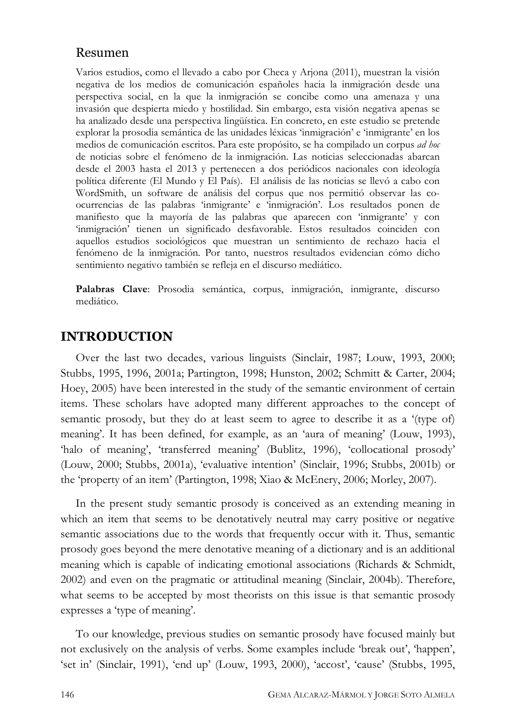#### Resumen

Varios estudios, como el llevado a cabo por Checa y Arjona (2011), muestran la visión negativa de los medios de comunicación españoles hacia la inmigración desde una perspectiva social, en la que la inmigración se concibe como una amenaza y una invasión que despierta miedo y hostilidad. Sin embargo, esta visión negativa apenas se ha analizado desde una perspectiva lingüística. En concreto, en este estudio se pretende explorar la prosodia semántica de las unidades léxicas 'inmigración' e 'inmigrante' en los medios de comunicación escritos. Para este propósito, se ha compilado un corpus *ad hoc* de noticias sobre el fenómeno de la inmigración. Las noticias seleccionadas abarcan desde el 2003 hasta el 2013 y pertenecen a dos periódicos nacionales con ideología política diferente (El Mundo y El País). El análisis de las noticias se llevó a cabo con WordSmith, un software de análisis del corpus que nos permitió observar las coocurrencias de las palabras 'inmigrante' e 'inmigración'. Los resultados ponen de manifiesto que la mayoría de las palabras que aparecen con 'inmigrante' y con 'inmigración' tienen un significado desfavorable. Estos resultados coinciden con aquellos estudios sociológicos que muestran un sentimiento de rechazo hacia el fenómeno de la inmigración. Por tanto, nuestros resultados evidencian cómo dicho sentimiento negativo también se refleja en el discurso mediático.

**Palabras Clave**: Prosodia semántica, corpus, inmigración, inmigrante, discurso mediático.

#### **INTRODUCTION**

Over the last two decades, various linguists (Sinclair, 1987; Louw, 1993, 2000; Stubbs, 1995, 1996, 2001a; Partington, 1998; Hunston, 2002; Schmitt & Carter, 2004; Hoey, 2005) have been interested in the study of the semantic environment of certain items. These scholars have adopted many different approaches to the concept of semantic prosody, but they do at least seem to agree to describe it as a '(type of) meaning'. It has been defined, for example, as an 'aura of meaning' (Louw, 1993), 'halo of meaning', 'transferred meaning' (Bublitz, 1996), 'collocational prosody' (Louw, 2000; Stubbs, 2001a), 'evaluative intention' (Sinclair, 1996; Stubbs, 2001b) or the 'property of an item' (Partington, 1998; Xiao & McEnery, 2006; Morley, 2007).

In the present study semantic prosody is conceived as an extending meaning in which an item that seems to be denotatively neutral may carry positive or negative semantic associations due to the words that frequently occur with it. Thus, semantic prosody goes beyond the mere denotative meaning of a dictionary and is an additional meaning which is capable of indicating emotional associations (Richards & Schmidt, 2002) and even on the pragmatic or attitudinal meaning (Sinclair, 2004b). Therefore, what seems to be accepted by most theorists on this issue is that semantic prosody expresses a 'type of meaning'.

To our knowledge, previous studies on semantic prosody have focused mainly but not exclusively on the analysis of verbs. Some examples include 'break out', 'happen', 'set in' (Sinclair, 1991), 'end up' (Louw, 1993, 2000), 'accost', 'cause' (Stubbs, 1995,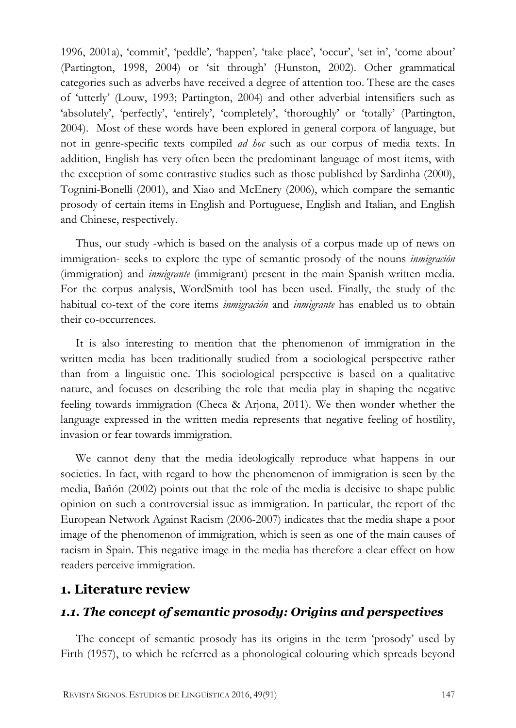1996, 2001a), 'commit', 'peddle'*,* 'happen'*,* 'take place', 'occur', 'set in', 'come about' (Partington, 1998, 2004) or 'sit through' (Hunston, 2002). Other grammatical categories such as adverbs have received a degree of attention too. These are the cases of 'utterly' (Louw, 1993; Partington, 2004) and other adverbial intensifiers such as 'absolutely', 'perfectly', 'entirely', 'completely', 'thoroughly' or 'totally' (Partington, 2004). Most of these words have been explored in general corpora of language, but not in genre-specific texts compiled *ad hoc* such as our corpus of media texts. In addition, English has very often been the predominant language of most items, with the exception of some contrastive studies such as those published by Sardinha (2000), Tognini-Bonelli (2001), and Xiao and McEnery (2006), which compare the semantic prosody of certain items in English and Portuguese, English and Italian, and English and Chinese, respectively.

Thus, our study -which is based on the analysis of a corpus made up of news on immigration- seeks to explore the type of semantic prosody of the nouns *inmigración* (immigration) and *inmigrante* (immigrant) present in the main Spanish written media. For the corpus analysis, WordSmith tool has been used. Finally, the study of the habitual co-text of the core items *inmigración* and *inmigrante* has enabled us to obtain their co-occurrences.

It is also interesting to mention that the phenomenon of immigration in the written media has been traditionally studied from a sociological perspective rather than from a linguistic one. This sociological perspective is based on a qualitative nature, and focuses on describing the role that media play in shaping the negative feeling towards immigration (Checa & Arjona, 2011). We then wonder whether the language expressed in the written media represents that negative feeling of hostility, invasion or fear towards immigration.

We cannot deny that the media ideologically reproduce what happens in our societies. In fact, with regard to how the phenomenon of immigration is seen by the media, Bañón (2002) points out that the role of the media is decisive to shape public opinion on such a controversial issue as immigration. In particular, the report of the European Network Against Racism (2006-2007) indicates that the media shape a poor image of the phenomenon of immigration, which is seen as one of the main causes of racism in Spain. This negative image in the media has therefore a clear effect on how readers perceive immigration.

## **1. Literature review**

## *1.1. The concept of semantic prosody: Origins and perspectives*

The concept of semantic prosody has its origins in the term 'prosody' used by Firth (1957), to which he referred as a phonological colouring which spreads beyond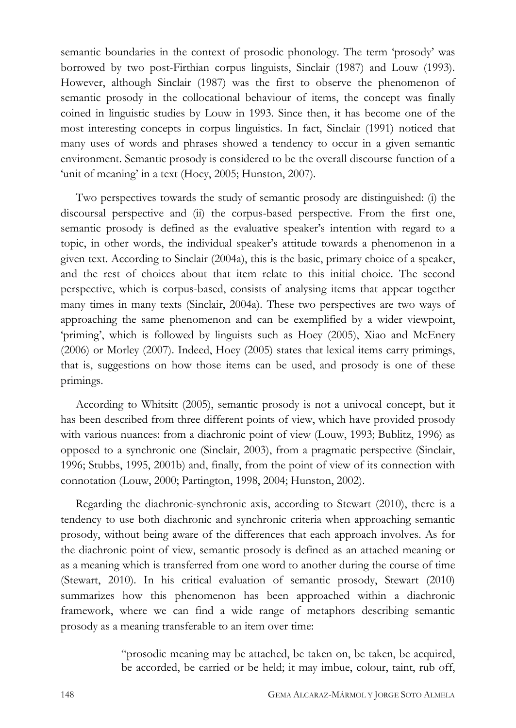semantic boundaries in the context of prosodic phonology. The term 'prosody' was borrowed by two post-Firthian corpus linguists, Sinclair (1987) and Louw (1993). However, although Sinclair (1987) was the first to observe the phenomenon of semantic prosody in the collocational behaviour of items, the concept was finally coined in linguistic studies by Louw in 1993. Since then, it has become one of the most interesting concepts in corpus linguistics. In fact, Sinclair (1991) noticed that many uses of words and phrases showed a tendency to occur in a given semantic environment. Semantic prosody is considered to be the overall discourse function of a 'unit of meaning' in a text (Hoey, 2005; Hunston, 2007).

Two perspectives towards the study of semantic prosody are distinguished: (i) the discoursal perspective and (ii) the corpus-based perspective. From the first one, semantic prosody is defined as the evaluative speaker's intention with regard to a topic, in other words, the individual speaker's attitude towards a phenomenon in a given text. According to Sinclair (2004a), this is the basic, primary choice of a speaker, and the rest of choices about that item relate to this initial choice. The second perspective, which is corpus-based, consists of analysing items that appear together many times in many texts (Sinclair, 2004a). These two perspectives are two ways of approaching the same phenomenon and can be exemplified by a wider viewpoint, 'priming', which is followed by linguists such as Hoey (2005), Xiao and McEnery (2006) or Morley (2007). Indeed, Hoey (2005) states that lexical items carry primings, that is, suggestions on how those items can be used, and prosody is one of these primings.

According to Whitsitt (2005), semantic prosody is not a univocal concept, but it has been described from three different points of view, which have provided prosody with various nuances: from a diachronic point of view (Louw, 1993; Bublitz, 1996) as opposed to a synchronic one (Sinclair, 2003), from a pragmatic perspective (Sinclair, 1996; Stubbs, 1995, 2001b) and, finally, from the point of view of its connection with connotation (Louw, 2000; Partington, 1998, 2004; Hunston, 2002).

Regarding the diachronic-synchronic axis, according to Stewart (2010), there is a tendency to use both diachronic and synchronic criteria when approaching semantic prosody, without being aware of the differences that each approach involves. As for the diachronic point of view, semantic prosody is defined as an attached meaning or as a meaning which is transferred from one word to another during the course of time (Stewart, 2010). In his critical evaluation of semantic prosody, Stewart (2010) summarizes how this phenomenon has been approached within a diachronic framework, where we can find a wide range of metaphors describing semantic prosody as a meaning transferable to an item over time:

> "prosodic meaning may be attached, be taken on, be taken, be acquired, be accorded, be carried or be held; it may imbue, colour, taint, rub off,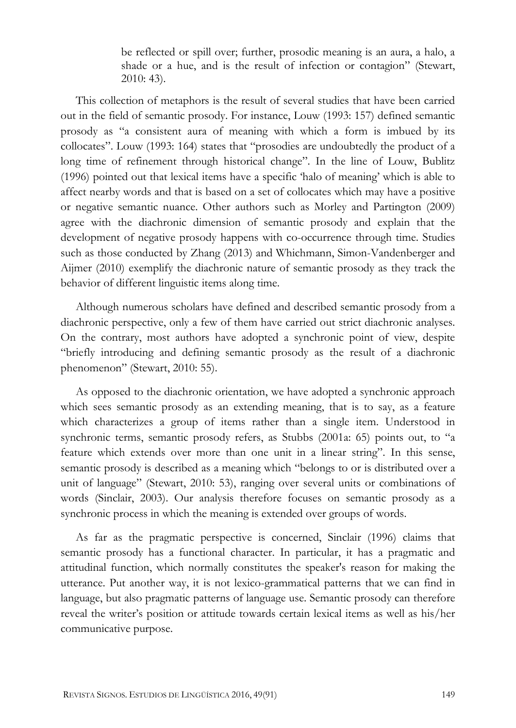be reflected or spill over; further, prosodic meaning is an aura, a halo, a shade or a hue, and is the result of infection or contagion" (Stewart, 2010: 43).

This collection of metaphors is the result of several studies that have been carried out in the field of semantic prosody. For instance, Louw (1993: 157) defined semantic prosody as "a consistent aura of meaning with which a form is imbued by its collocates". Louw (1993: 164) states that "prosodies are undoubtedly the product of a long time of refinement through historical change". In the line of Louw, Bublitz (1996) pointed out that lexical items have a specific 'halo of meaning' which is able to affect nearby words and that is based on a set of collocates which may have a positive or negative semantic nuance. Other authors such as Morley and Partington (2009) agree with the diachronic dimension of semantic prosody and explain that the development of negative prosody happens with co-occurrence through time. Studies such as those conducted by Zhang (2013) and Whichmann, Simon-Vandenberger and Aijmer (2010) exemplify the diachronic nature of semantic prosody as they track the behavior of different linguistic items along time.

Although numerous scholars have defined and described semantic prosody from a diachronic perspective, only a few of them have carried out strict diachronic analyses. On the contrary, most authors have adopted a synchronic point of view, despite "briefly introducing and defining semantic prosody as the result of a diachronic phenomenon" (Stewart, 2010: 55).

As opposed to the diachronic orientation, we have adopted a synchronic approach which sees semantic prosody as an extending meaning, that is to say, as a feature which characterizes a group of items rather than a single item. Understood in synchronic terms, semantic prosody refers, as Stubbs (2001a: 65) points out, to "a feature which extends over more than one unit in a linear string". In this sense, semantic prosody is described as a meaning which "belongs to or is distributed over a unit of language" (Stewart, 2010: 53), ranging over several units or combinations of words (Sinclair, 2003). Our analysis therefore focuses on semantic prosody as a synchronic process in which the meaning is extended over groups of words.

As far as the pragmatic perspective is concerned, Sinclair (1996) claims that semantic prosody has a functional character. In particular, it has a pragmatic and attitudinal function, which normally constitutes the speaker's reason for making the utterance. Put another way, it is not lexico-grammatical patterns that we can find in language, but also pragmatic patterns of language use. Semantic prosody can therefore reveal the writer's position or attitude towards certain lexical items as well as his/her communicative purpose.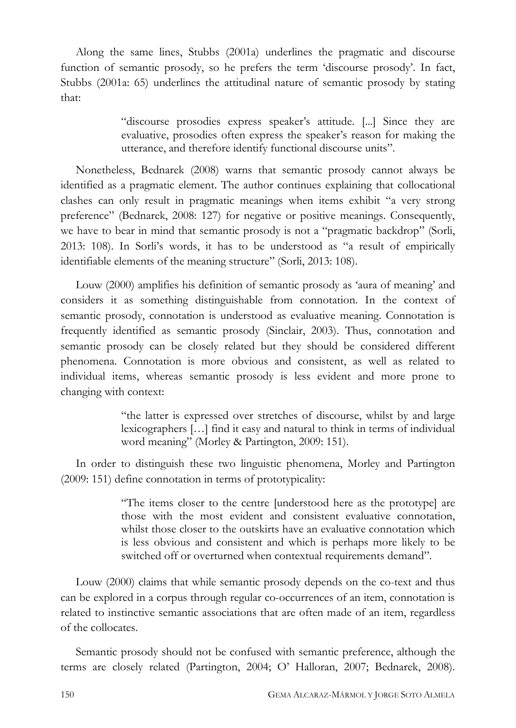Along the same lines, Stubbs (2001a) underlines the pragmatic and discourse function of semantic prosody, so he prefers the term 'discourse prosody'. In fact, Stubbs (2001a: 65) underlines the attitudinal nature of semantic prosody by stating that:

> "discourse prosodies express speaker's attitude. [...] Since they are evaluative, prosodies often express the speaker's reason for making the utterance, and therefore identify functional discourse units".

Nonetheless, Bednarek (2008) warns that semantic prosody cannot always be identified as a pragmatic element. The author continues explaining that collocational clashes can only result in pragmatic meanings when items exhibit "a very strong preference" (Bednarek, 2008: 127) for negative or positive meanings. Consequently, we have to bear in mind that semantic prosody is not a "pragmatic backdrop" (Sorli, 2013: 108). In Sorli's words, it has to be understood as "a result of empirically identifiable elements of the meaning structure" (Sorli, 2013: 108).

Louw (2000) amplifies his definition of semantic prosody as 'aura of meaning' and considers it as something distinguishable from connotation. In the context of semantic prosody, connotation is understood as evaluative meaning. Connotation is frequently identified as semantic prosody (Sinclair, 2003). Thus, connotation and semantic prosody can be closely related but they should be considered different phenomena. Connotation is more obvious and consistent, as well as related to individual items, whereas semantic prosody is less evident and more prone to changing with context:

> "the latter is expressed over stretches of discourse, whilst by and large lexicographers […] find it easy and natural to think in terms of individual word meaning" (Morley & Partington, 2009: 151).

In order to distinguish these two linguistic phenomena, Morley and Partington (2009: 151) define connotation in terms of prototypicality:

> "The items closer to the centre [understood here as the prototype] are those with the most evident and consistent evaluative connotation, whilst those closer to the outskirts have an evaluative connotation which is less obvious and consistent and which is perhaps more likely to be switched off or overturned when contextual requirements demand".

Louw (2000) claims that while semantic prosody depends on the co-text and thus can be explored in a corpus through regular co-occurrences of an item, connotation is related to instinctive semantic associations that are often made of an item, regardless of the collocates.

Semantic prosody should not be confused with semantic preference, although the terms are closely related (Partington, 2004; O' Halloran, 2007; Bednarek, 2008).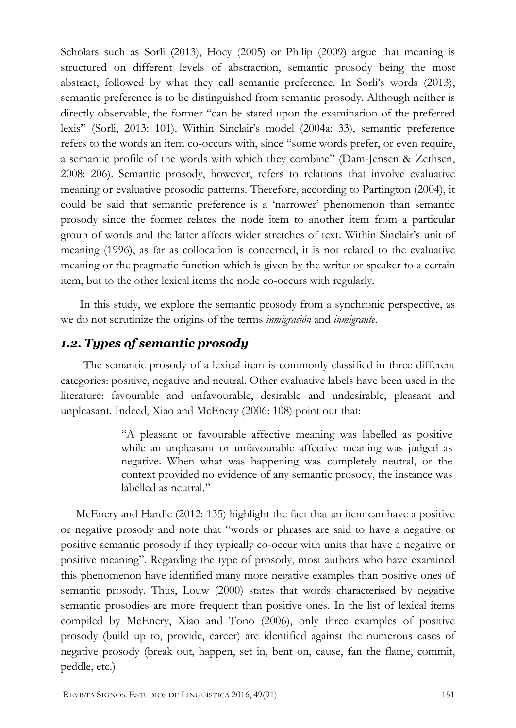Scholars such as Sorli (2013), Hoey (2005) or Philip (2009) argue that meaning is structured on different levels of abstraction, semantic prosody being the most abstract, followed by what they call semantic preference. In Sorli's words (2013), semantic preference is to be distinguished from semantic prosody. Although neither is directly observable, the former "can be stated upon the examination of the preferred lexis" (Sorli, 2013: 101). Within Sinclair's model (2004a: 33), semantic preference refers to the words an item co-occurs with, since "some words prefer, or even require, a semantic profile of the words with which they combine" (Dam-Jensen & Zethsen, 2008: 206). Semantic prosody, however, refers to relations that involve evaluative meaning or evaluative prosodic patterns. Therefore, according to Partington (2004), it could be said that semantic preference is a 'narrower' phenomenon than semantic prosody since the former relates the node item to another item from a particular group of words and the latter affects wider stretches of text. Within Sinclair's unit of meaning (1996), as far as collocation is concerned, it is not related to the evaluative meaning or the pragmatic function which is given by the writer or speaker to a certain item, but to the other lexical items the node co-occurs with regularly.

In this study, we explore the semantic prosody from a synchronic perspective, as we do not scrutinize the origins of the terms *inmigración* and *inmigrante*.

#### *1.2. Types of semantic prosody*

The semantic prosody of a lexical item is commonly classified in three different categories: positive, negative and neutral. Other evaluative labels have been used in the literature: favourable and unfavourable, desirable and undesirable, pleasant and unpleasant. Indeed, Xiao and McEnery (2006: 108) point out that:

> "A pleasant or favourable affective meaning was labelled as positive while an unpleasant or unfavourable affective meaning was judged as negative. When what was happening was completely neutral, or the context provided no evidence of any semantic prosody, the instance was labelled as neutral."

McEnery and Hardie (2012: 135) highlight the fact that an item can have a positive or negative prosody and note that "words or phrases are said to have a negative or positive semantic prosody if they typically co-occur with units that have a negative or positive meaning". Regarding the type of prosody, most authors who have examined this phenomenon have identified many more negative examples than positive ones of semantic prosody. Thus, Louw (2000) states that words characterised by negative semantic prosodies are more frequent than positive ones. In the list of lexical items compiled by McEnery, Xiao and Tono (2006), only three examples of positive prosody (build up to, provide, career) are identified against the numerous cases of negative prosody (break out, happen, set in, bent on, cause, fan the flame, commit, peddle, etc.).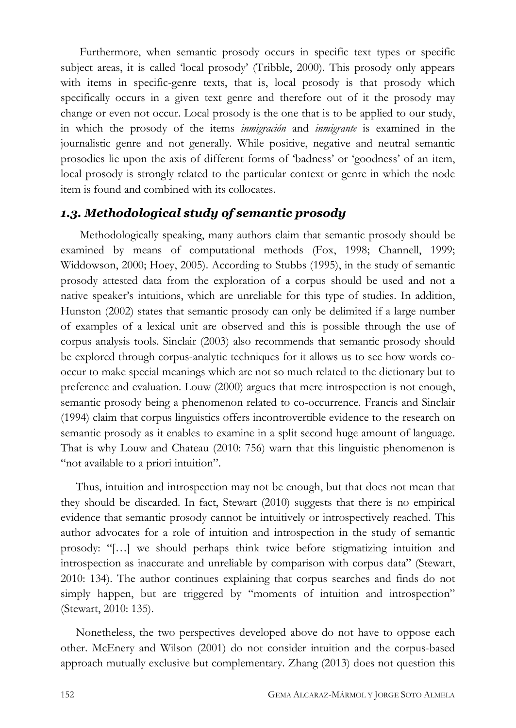Furthermore, when semantic prosody occurs in specific text types or specific subject areas, it is called 'local prosody' (Tribble, 2000). This prosody only appears with items in specific-genre texts, that is, local prosody is that prosody which specifically occurs in a given text genre and therefore out of it the prosody may change or even not occur. Local prosody is the one that is to be applied to our study, in which the prosody of the items *inmigración* and *inmigrante* is examined in the journalistic genre and not generally. While positive, negative and neutral semantic prosodies lie upon the axis of different forms of 'badness' or 'goodness' of an item, local prosody is strongly related to the particular context or genre in which the node item is found and combined with its collocates.

#### *1.3. Methodological study of semantic prosody*

Methodologically speaking, many authors claim that semantic prosody should be examined by means of computational methods (Fox, 1998; Channell, 1999; Widdowson, 2000; Hoey, 2005). According to Stubbs (1995), in the study of semantic prosody attested data from the exploration of a corpus should be used and not a native speaker's intuitions, which are unreliable for this type of studies. In addition, Hunston (2002) states that semantic prosody can only be delimited if a large number of examples of a lexical unit are observed and this is possible through the use of corpus analysis tools. Sinclair (2003) also recommends that semantic prosody should be explored through corpus-analytic techniques for it allows us to see how words cooccur to make special meanings which are not so much related to the dictionary but to preference and evaluation. Louw (2000) argues that mere introspection is not enough, semantic prosody being a phenomenon related to co-occurrence. Francis and Sinclair (1994) claim that corpus linguistics offers incontrovertible evidence to the research on semantic prosody as it enables to examine in a split second huge amount of language. That is why Louw and Chateau (2010: 756) warn that this linguistic phenomenon is "not available to a priori intuition".

Thus, intuition and introspection may not be enough, but that does not mean that they should be discarded. In fact, Stewart (2010) suggests that there is no empirical evidence that semantic prosody cannot be intuitively or introspectively reached. This author advocates for a role of intuition and introspection in the study of semantic prosody: "[…] we should perhaps think twice before stigmatizing intuition and introspection as inaccurate and unreliable by comparison with corpus data" (Stewart, 2010: 134). The author continues explaining that corpus searches and finds do not simply happen, but are triggered by "moments of intuition and introspection" (Stewart, 2010: 135).

Nonetheless, the two perspectives developed above do not have to oppose each other. McEnery and Wilson (2001) do not consider intuition and the corpus-based approach mutually exclusive but complementary. Zhang (2013) does not question this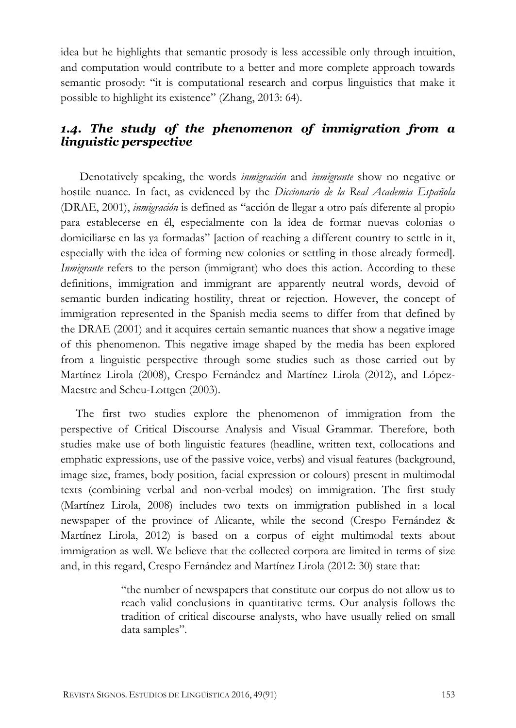idea but he highlights that semantic prosody is less accessible only through intuition, and computation would contribute to a better and more complete approach towards semantic prosody: "it is computational research and corpus linguistics that make it possible to highlight its existence" (Zhang, 2013: 64).

## *1.4. The study of the phenomenon of immigration from a linguistic perspective*

Denotatively speaking, the words *inmigración* and *inmigrante* show no negative or hostile nuance. In fact, as evidenced by the *Diccionario de la Real Academia Española* (DRAE, 2001), *inmigración* is defined as "acción de llegar a otro país diferente al propio para establecerse en él, especialmente con la idea de formar nuevas colonias o domiciliarse en las ya formadas" [action of reaching a different country to settle in it, especially with the idea of forming new colonies or settling in those already formed]. *Inmigrante* refers to the person (immigrant) who does this action. According to these definitions, immigration and immigrant are apparently neutral words, devoid of semantic burden indicating hostility, threat or rejection. However, the concept of immigration represented in the Spanish media seems to differ from that defined by the DRAE (2001) and it acquires certain semantic nuances that show a negative image of this phenomenon. This negative image shaped by the media has been explored from a linguistic perspective through some studies such as those carried out by Martínez Lirola (2008), Crespo Fernández and Martínez Lirola (2012), and López-Maestre and Scheu-Lottgen (2003).

The first two studies explore the phenomenon of immigration from the perspective of Critical Discourse Analysis and Visual Grammar. Therefore, both studies make use of both linguistic features (headline, written text, collocations and emphatic expressions, use of the passive voice, verbs) and visual features (background, image size, frames, body position, facial expression or colours) present in multimodal texts (combining verbal and non-verbal modes) on immigration. The first study (Martínez Lirola, 2008) includes two texts on immigration published in a local newspaper of the province of Alicante, while the second (Crespo Fernández & Martínez Lirola, 2012) is based on a corpus of eight multimodal texts about immigration as well. We believe that the collected corpora are limited in terms of size and, in this regard, Crespo Fernández and Martínez Lirola (2012: 30) state that:

> "the number of newspapers that constitute our corpus do not allow us to reach valid conclusions in quantitative terms. Our analysis follows the tradition of critical discourse analysts, who have usually relied on small data samples".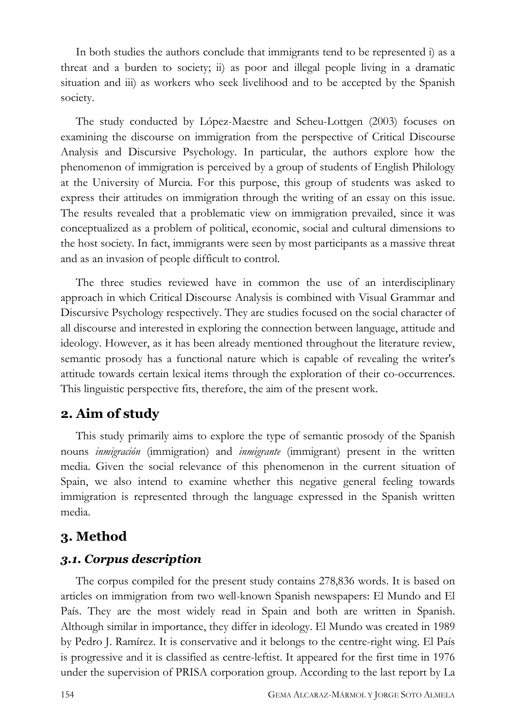In both studies the authors conclude that immigrants tend to be represented i) as a threat and a burden to society; ii) as poor and illegal people living in a dramatic situation and iii) as workers who seek livelihood and to be accepted by the Spanish society.

The study conducted by López-Maestre and Scheu-Lottgen (2003) focuses on examining the discourse on immigration from the perspective of Critical Discourse Analysis and Discursive Psychology. In particular, the authors explore how the phenomenon of immigration is perceived by a group of students of English Philology at the University of Murcia. For this purpose, this group of students was asked to express their attitudes on immigration through the writing of an essay on this issue. The results revealed that a problematic view on immigration prevailed, since it was conceptualized as a problem of political, economic, social and cultural dimensions to the host society. In fact, immigrants were seen by most participants as a massive threat and as an invasion of people difficult to control.

The three studies reviewed have in common the use of an interdisciplinary approach in which Critical Discourse Analysis is combined with Visual Grammar and Discursive Psychology respectively. They are studies focused on the social character of all discourse and interested in exploring the connection between language, attitude and ideology. However, as it has been already mentioned throughout the literature review, semantic prosody has a functional nature which is capable of revealing the writer's attitude towards certain lexical items through the exploration of their co-occurrences. This linguistic perspective fits, therefore, the aim of the present work.

#### **2. Aim of study**

This study primarily aims to explore the type of semantic prosody of the Spanish nouns *inmigración* (immigration) and *inmigrante* (immigrant) present in the written media. Given the social relevance of this phenomenon in the current situation of Spain, we also intend to examine whether this negative general feeling towards immigration is represented through the language expressed in the Spanish written media.

#### **3. Method**

#### *3.1. Corpus description*

The corpus compiled for the present study contains 278,836 words. It is based on articles on immigration from two well-known Spanish newspapers: El Mundo and El País. They are the most widely read in Spain and both are written in Spanish. Although similar in importance, they differ in ideology. El Mundo was created in 1989 by Pedro J. Ramírez. It is conservative and it belongs to the centre-right wing. El País is progressive and it is classified as centre-leftist. It appeared for the first time in 1976 under the supervision of PRISA corporation group. According to the last report by La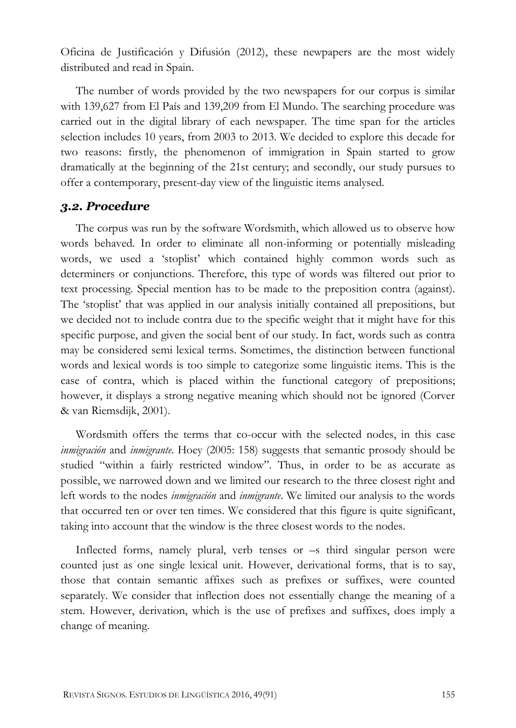Oficina de Justificación y Difusión (2012), these newpapers are the most widely distributed and read in Spain.

The number of words provided by the two newspapers for our corpus is similar with 139,627 from El País and 139,209 from El Mundo. The searching procedure was carried out in the digital library of each newspaper. The time span for the articles selection includes 10 years, from 2003 to 2013. We decided to explore this decade for two reasons: firstly, the phenomenon of immigration in Spain started to grow dramatically at the beginning of the 21st century; and secondly, our study pursues to offer a contemporary, present-day view of the linguistic items analysed.

#### *3.2. Procedure*

The corpus was run by the software Wordsmith, which allowed us to observe how words behaved. In order to eliminate all non-informing or potentially misleading words, we used a 'stoplist' which contained highly common words such as determiners or conjunctions. Therefore, this type of words was filtered out prior to text processing. Special mention has to be made to the preposition contra (against). The 'stoplist' that was applied in our analysis initially contained all prepositions, but we decided not to include contra due to the specific weight that it might have for this specific purpose, and given the social bent of our study. In fact, words such as contra may be considered semi lexical terms. Sometimes, the distinction between functional words and lexical words is too simple to categorize some linguistic items. This is the case of contra, which is placed within the functional category of prepositions; however, it displays a strong negative meaning which should not be ignored (Corver & van Riemsdijk, 2001).

Wordsmith offers the terms that co-occur with the selected nodes, in this case *inmigración* and *inmigrante*. Hoey (2005: 158) suggests that semantic prosody should be studied "within a fairly restricted window". Thus, in order to be as accurate as possible, we narrowed down and we limited our research to the three closest right and left words to the nodes *inmigración* and *inmigrante*. We limited our analysis to the words that occurred ten or over ten times. We considered that this figure is quite significant, taking into account that the window is the three closest words to the nodes.

Inflected forms, namely plural, verb tenses or –s third singular person were counted just as one single lexical unit. However, derivational forms, that is to say, those that contain semantic affixes such as prefixes or suffixes, were counted separately. We consider that inflection does not essentially change the meaning of a stem. However, derivation, which is the use of prefixes and suffixes, does imply a change of meaning.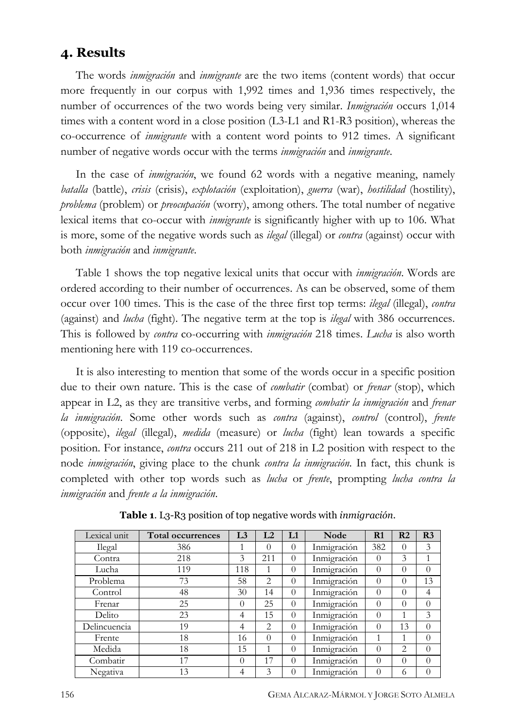#### **4. Results**

The words *inmigración* and *inmigrante* are the two items (content words) that occur more frequently in our corpus with 1,992 times and 1,936 times respectively, the number of occurrences of the two words being very similar. *Inmigración* occurs 1,014 times with a content word in a close position (L3-L1 and R1-R3 position), whereas the co-occurrence of *inmigrante* with a content word points to 912 times. A significant number of negative words occur with the terms *inmigración* and *inmigrante*.

In the case of *inmigración*, we found 62 words with a negative meaning, namely *batalla* (battle), *crisis* (crisis), *explotación* (exploitation), *guerra* (war), *hostilidad* (hostility), *problema* (problem) or *preocupación* (worry), among others. The total number of negative lexical items that co-occur with *inmigrante* is significantly higher with up to 106. What is more, some of the negative words such as *ilegal* (illegal) or *contra* (against) occur with both *inmigración* and *inmigrante*.

Table 1 shows the top negative lexical units that occur with *inmigración*. Words are ordered according to their number of occurrences. As can be observed, some of them occur over 100 times. This is the case of the three first top terms: *ilegal* (illegal), *contra* (against) and *lucha* (fight). The negative term at the top is *ilegal* with 386 occurrences. This is followed by *contra* co-occurring with *inmigración* 218 times. *Lucha* is also worth mentioning here with 119 co-occurrences.

It is also interesting to mention that some of the words occur in a specific position due to their own nature. This is the case of *combatir* (combat) or *frenar* (stop), which appear in L2, as they are transitive verbs, and forming *combatir la inmigración* and *frenar la inmigración*. Some other words such as *contra* (against), *control* (control), *frente* (opposite), *ilegal* (illegal), *medida* (measure) or *lucha* (fight) lean towards a specific position. For instance, *contra* occurs 211 out of 218 in L2 position with respect to the node *inmigración*, giving place to the chunk *contra la inmigración*. In fact, this chunk is completed with other top words such as *lucha* or *frente*, prompting *lucha contra la inmigración* and *frente a la inmigración*.

| Lexical unit | <b>Total occurrences</b> | L <sub>3</sub> | L2             | L1       | Node        | R1       | R <sub>2</sub> | R <sub>3</sub> |
|--------------|--------------------------|----------------|----------------|----------|-------------|----------|----------------|----------------|
| Ilegal       | 386                      | 1              | $\Omega$       | $\Omega$ | Inmigración | 382      | 0              | 3              |
| Contra       | 218                      | 3              | 211            | $\Omega$ | Inmigración | $\Omega$ | 3              |                |
| Lucha        | 119                      | 118            |                | $\Omega$ | Inmigración | $\Omega$ | $\Omega$       | $\Omega$       |
| Problema     | 73                       | 58             | $\overline{2}$ | $\Omega$ | Inmigración | $\theta$ | 0              | 13             |
| Control      | 48                       | 30             | 14             | $\Omega$ | Inmigración | $\Omega$ | $\theta$       | $\overline{4}$ |
| Frenar       | 25                       | $\Omega$       | 25             | $\Omega$ | Inmigración | $\theta$ | $\Omega$       | $\Omega$       |
| Delito       | 23                       | 4              | 15             | $\Omega$ | Inmigración | $\theta$ | 1              | 3              |
| Delincuencia | 19                       | 4              | 2              | $\Omega$ | Inmigración | $\Omega$ | 13             | $\Omega$       |
| Frente       | 18                       | 16             | $\Omega$       | $\Omega$ | Inmigración |          |                | $\Omega$       |
| Medida       | 18                       | 15             | 1              | $\Omega$ | Inmigración | $\Omega$ | 2              | $\Omega$       |
| Combatir     | 17                       | $\theta$       | 17             | $\Omega$ | Inmigración | $\theta$ | $\theta$       | $\Omega$       |
| Negativa     | 13                       | 4              | 3              | $\Omega$ | Inmigración | $\Omega$ | 6              | $\Omega$       |

**Table 1**. L3-R3 position of top negative words with *inmigración*.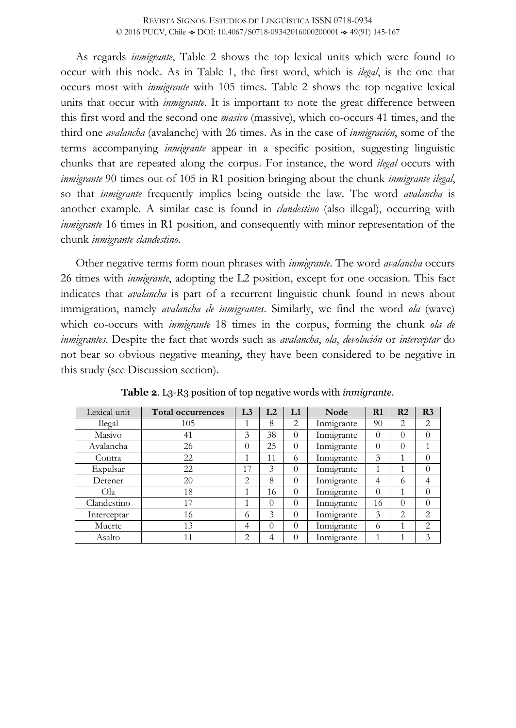As regards *inmigrante*, Table 2 shows the top lexical units which were found to occur with this node. As in Table 1, the first word, which is *ilegal*, is the one that occurs most with *inmigrante* with 105 times. Table 2 shows the top negative lexical units that occur with *inmigrante*. It is important to note the great difference between this first word and the second one *masivo* (massive), which co-occurs 41 times, and the third one *avalancha* (avalanche) with 26 times. As in the case of *inmigración*, some of the terms accompanying *inmigrante* appear in a specific position, suggesting linguistic chunks that are repeated along the corpus. For instance, the word *ilegal* occurs with *inmigrante* 90 times out of 105 in R1 position bringing about the chunk *inmigrante ilegal*, so that *inmigrante* frequently implies being outside the law. The word *avalancha* is another example. A similar case is found in *clandestino* (also illegal), occurring with *inmigrante* 16 times in R1 position, and consequently with minor representation of the chunk *inmigrante clandestino*.

Other negative terms form noun phrases with *inmigrante*. The word *avalancha* occurs 26 times with *inmigrante*, adopting the L2 position, except for one occasion. This fact indicates that *avalancha* is part of a recurrent linguistic chunk found in news about immigration, namely *avalancha de inmigrantes*. Similarly, we find the word *ola* (wave) which co-occurs with *inmigrante* 18 times in the corpus, forming the chunk *ola de inmigrantes*. Despite the fact that words such as *avalancha*, *ola*, *devolución* or *interceptar* do not bear so obvious negative meaning, they have been considered to be negative in this study (see Discussion section).

| Lexical unit | Total occurrences | L <sub>3</sub> | L2       | L1       | Node       | R1       | R <sub>2</sub> | R <sub>3</sub> |
|--------------|-------------------|----------------|----------|----------|------------|----------|----------------|----------------|
| Ilegal       | 105               |                | 8        | 2        | Inmigrante | 90       | 2              | 2              |
| Masivo       | 41                | 3              | 38       | $\theta$ | Inmigrante | $\Omega$ | 0              | $\Omega$       |
| Avalancha    | 26                | 0              | 25       | $\theta$ | Inmigrante | $\Omega$ | $\theta$       |                |
| Contra       | 22                |                | 11       | 6        | Inmigrante | 3        |                | $\theta$       |
| Expulsar     | 22                | 17             | 3        | 0        | Inmigrante |          |                | $\theta$       |
| Detener      | 20                | 2              | 8        | 0        | Inmigrante | 4        | $^{(1)}$       | 4              |
| Ola          | 18                |                | 16       | $\theta$ | Inmigrante | $\Omega$ |                | $\theta$       |
| Clandestino  | 17                |                | $\Omega$ | $\theta$ | Inmigrante | 16       | 0              | $\theta$       |
| Interceptar  | 16                | 6              | 3        | $\theta$ | Inmigrante | 3        | 2              | $\overline{2}$ |
| Muerte       | 13                | 4              | $\Omega$ | $\theta$ | Inmigrante | 6        |                | 2              |
| Asalto       | 11                | 2              | 4        |          | Inmigrante |          |                | 3              |

**Table 2**. L3-R3 position of top negative words with *inmigrante*.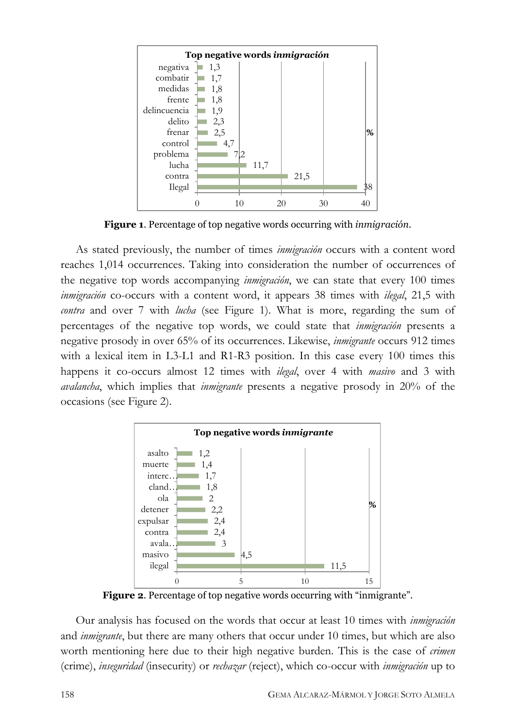

**Figure 1**. Percentage of top negative words occurring with *inmigración*.

As stated previously, the number of times *inmigración* occurs with a content word reaches 1,014 occurrences. Taking into consideration the number of occurrences of the negative top words accompanying *inmigración*, we can state that every 100 times *inmigración* co-occurs with a content word, it appears 38 times with *ilegal*, 21,5 with *contra* and over 7 with *lucha* (see Figure 1). What is more, regarding the sum of percentages of the negative top words, we could state that *inmigración* presents a negative prosody in over 65% of its occurrences. Likewise, *inmigrante* occurs 912 times with a lexical item in L3-L1 and R1-R3 position. In this case every 100 times this happens it co-occurs almost 12 times with *ilegal*, over 4 with *masivo* and 3 with *avalancha*, which implies that *inmigrante* presents a negative prosody in 20% of the occasions (see Figure 2).



**Figure 2**. Percentage of top negative words occurring with "inmigrante".

Our analysis has focused on the words that occur at least 10 times with *inmigración* and *inmigrante*, but there are many others that occur under 10 times, but which are also worth mentioning here due to their high negative burden. This is the case of *crimen* (crime), *inseguridad* (insecurity) or *rechazar* (reject), which co-occur with *inmigración* up to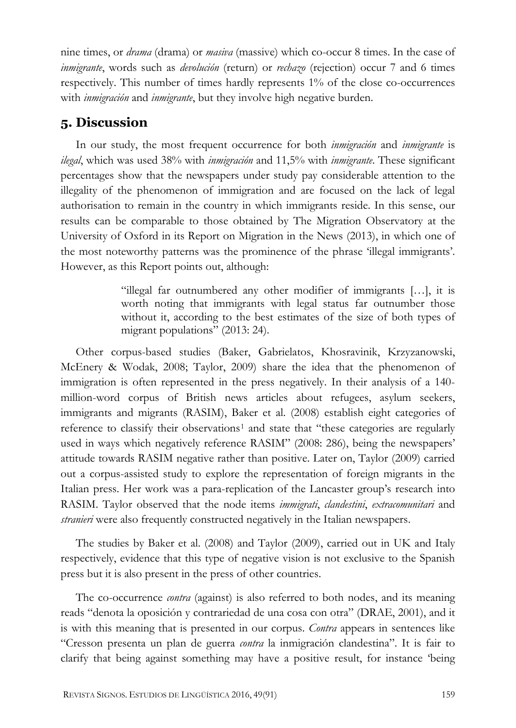nine times, or *drama* (drama) or *masiva* (massive) which co-occur 8 times. In the case of *inmigrante*, words such as *devolución* (return) or *rechazo* (rejection) occur 7 and 6 times respectively. This number of times hardly represents 1% of the close co-occurrences with *inmigración* and *inmigrante*, but they involve high negative burden.

## **5. Discussion**

In our study, the most frequent occurrence for both *inmigración* and *inmigrante* is *ilegal*, which was used 38% with *inmigración* and 11,5% with *inmigrante*. These significant percentages show that the newspapers under study pay considerable attention to the illegality of the phenomenon of immigration and are focused on the lack of legal authorisation to remain in the country in which immigrants reside. In this sense, our results can be comparable to those obtained by The Migration Observatory at the University of Oxford in its Report on Migration in the News (2013), in which one of the most noteworthy patterns was the prominence of the phrase 'illegal immigrants'. However, as this Report points out, although:

> "illegal far outnumbered any other modifier of immigrants […], it is worth noting that immigrants with legal status far outnumber those without it, according to the best estimates of the size of both types of migrant populations" (2013: 24).

Other corpus-based studies (Baker, Gabrielatos, Khosravinik, Krzyzanowski, McEnery & Wodak, 2008; Taylor, 2009) share the idea that the phenomenon of immigration is often represented in the press negatively. In their analysis of a 140 million-word corpus of British news articles about refugees, asylum seekers, immigrants and migrants (RASIM), Baker et al. (2008) establish eight categories of reference to classify their observations<sup>[1](#page-22-0)</sup> and state that "these categories are regularly used in ways which negatively reference RASIM" (2008: 286), being the newspapers' attitude towards RASIM negative rather than positive. Later on, Taylor (2009) carried out a corpus-assisted study to explore the representation of foreign migrants in the Italian press. Her work was a para-replication of the Lancaster group's research into RASIM. Taylor observed that the node items *immigrati*, *clandestini*, *extracomunitari* and *stranieri* were also frequently constructed negatively in the Italian newspapers.

The studies by Baker et al. (2008) and Taylor (2009), carried out in UK and Italy respectively, evidence that this type of negative vision is not exclusive to the Spanish press but it is also present in the press of other countries.

The co-occurrence *contra* (against) is also referred to both nodes, and its meaning reads "denota la oposición y contrariedad de una cosa con otra" (DRAE, 2001), and it is with this meaning that is presented in our corpus. *Contra* appears in sentences like "Cresson presenta un plan de guerra *contra* la inmigración clandestina". It is fair to clarify that being against something may have a positive result, for instance 'being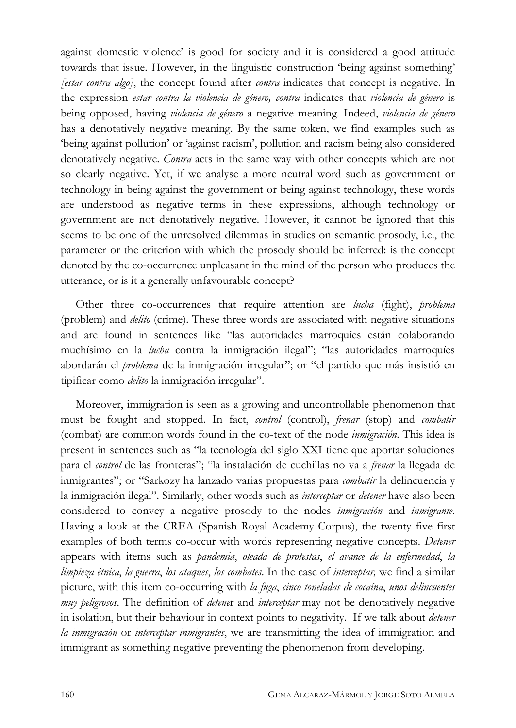against domestic violence' is good for society and it is considered a good attitude towards that issue. However, in the linguistic construction 'being against something' *[estar contra algo]*, the concept found after *contra* indicates that concept is negative. In the expression *estar contra la violencia de género, contra* indicates that *violencia de género* is being opposed, having *violencia de género* a negative meaning. Indeed, *violencia de género* has a denotatively negative meaning. By the same token, we find examples such as 'being against pollution' or 'against racism', pollution and racism being also considered denotatively negative. *Contra* acts in the same way with other concepts which are not so clearly negative. Yet, if we analyse a more neutral word such as government or technology in being against the government or being against technology, these words are understood as negative terms in these expressions, although technology or government are not denotatively negative. However, it cannot be ignored that this seems to be one of the unresolved dilemmas in studies on semantic prosody, i.e., the parameter or the criterion with which the prosody should be inferred: is the concept denoted by the co-occurrence unpleasant in the mind of the person who produces the utterance, or is it a generally unfavourable concept?

Other three co-occurrences that require attention are *lucha* (fight), *problema* (problem) and *delito* (crime). These three words are associated with negative situations and are found in sentences like "las autoridades marroquíes están colaborando muchísimo en la *lucha* contra la inmigración ilegal"; "las autoridades marroquíes abordarán el *problema* de la inmigración irregular"; or "el partido que más insistió en tipificar como *delito* la inmigración irregular".

Moreover, immigration is seen as a growing and uncontrollable phenomenon that must be fought and stopped. In fact, *control* (control), *frenar* (stop) and *combatir* (combat) are common words found in the co-text of the node *inmigración*. This idea is present in sentences such as "la tecnología del siglo XXI tiene que aportar soluciones para el *control* de las fronteras"; "la instalación de cuchillas no va a *frenar* la llegada de inmigrantes"; or "Sarkozy ha lanzado varias propuestas para *combatir* la delincuencia y la inmigración ilegal". Similarly, other words such as *interceptar* or *detener* have also been considered to convey a negative prosody to the nodes *inmigración* and *inmigrante*. Having a look at the CREA (Spanish Royal Academy Corpus), the twenty five first examples of both terms co-occur with words representing negative concepts. *Detener* appears with items such as *pandemia*, *oleada de protestas*, *el avance de la enfermedad*, *la limpieza étnica*, *la guerra*, *los ataques*, *los combates*. In the case of *interceptar,* we find a similar picture, with this item co-occurring with *la fuga*, *cinco toneladas de cocaína*, *unos delincuentes muy peligrosos*. The definition of *detene*r and *interceptar* may not be denotatively negative in isolation, but their behaviour in context points to negativity. If we talk about *detener la inmigración* or *interceptar inmigrantes*, we are transmitting the idea of immigration and immigrant as something negative preventing the phenomenon from developing.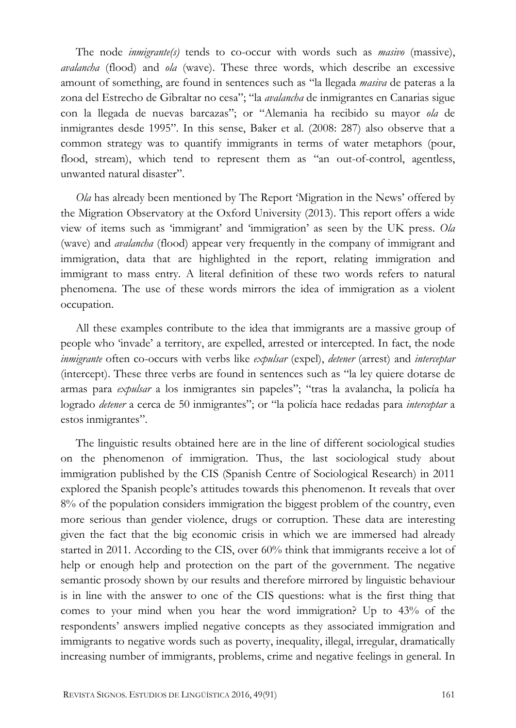The node *inmigrante(s)* tends to co-occur with words such as *masivo* (massive), *avalancha* (flood) and *ola* (wave). These three words, which describe an excessive amount of something, are found in sentences such as "la llegada *masiva* de pateras a la zona del Estrecho de Gibraltar no cesa"; "la *avalancha* de inmigrantes en Canarias sigue con la llegada de nuevas barcazas"; or "Alemania ha recibido su mayor *ola* de inmigrantes desde 1995". In this sense, Baker et al. (2008: 287) also observe that a common strategy was to quantify immigrants in terms of water metaphors (pour, flood, stream), which tend to represent them as "an out-of-control, agentless, unwanted natural disaster".

*Ola* has already been mentioned by The Report 'Migration in the News' offered by the Migration Observatory at the Oxford University (2013). This report offers a wide view of items such as 'immigrant' and 'immigration' as seen by the UK press. *Ola* (wave) and *avalancha* (flood) appear very frequently in the company of immigrant and immigration, data that are highlighted in the report, relating immigration and immigrant to mass entry. A literal definition of these two words refers to natural phenomena. The use of these words mirrors the idea of immigration as a violent occupation.

All these examples contribute to the idea that immigrants are a massive group of people who 'invade' a territory, are expelled, arrested or intercepted. In fact, the node *inmigrante* often co-occurs with verbs like *expulsar* (expel), *detener* (arrest) and *interceptar* (intercept). These three verbs are found in sentences such as "la ley quiere dotarse de armas para *expulsar* a los inmigrantes sin papeles"; "tras la avalancha, la policía ha logrado *detener* a cerca de 50 inmigrantes"; or "la policía hace redadas para *interceptar* a estos inmigrantes".

The linguistic results obtained here are in the line of different sociological studies on the phenomenon of immigration. Thus, the last sociological study about immigration published by the CIS (Spanish Centre of Sociological Research) in 2011 explored the Spanish people's attitudes towards this phenomenon. It reveals that over 8% of the population considers immigration the biggest problem of the country, even more serious than gender violence, drugs or corruption. These data are interesting given the fact that the big economic crisis in which we are immersed had already started in 2011. According to the CIS, over 60% think that immigrants receive a lot of help or enough help and protection on the part of the government. The negative semantic prosody shown by our results and therefore mirrored by linguistic behaviour is in line with the answer to one of the CIS questions: what is the first thing that comes to your mind when you hear the word immigration? Up to 43% of the respondents' answers implied negative concepts as they associated immigration and immigrants to negative words such as poverty, inequality, illegal, irregular, dramatically increasing number of immigrants, problems, crime and negative feelings in general. In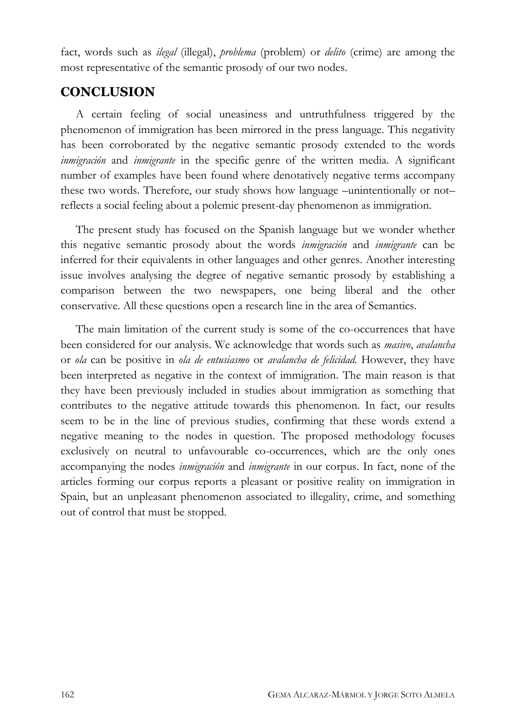fact, words such as *ilegal* (illegal), *problema* (problem) or *delito* (crime) are among the most representative of the semantic prosody of our two nodes.

# **CONCLUSION**

A certain feeling of social uneasiness and untruthfulness triggered by the phenomenon of immigration has been mirrored in the press language. This negativity has been corroborated by the negative semantic prosody extended to the words *inmigración* and *inmigrante* in the specific genre of the written media. A significant number of examples have been found where denotatively negative terms accompany these two words. Therefore, our study shows how language –unintentionally or not– reflects a social feeling about a polemic present-day phenomenon as immigration.

The present study has focused on the Spanish language but we wonder whether this negative semantic prosody about the words *inmigración* and *inmigrante* can be inferred for their equivalents in other languages and other genres. Another interesting issue involves analysing the degree of negative semantic prosody by establishing a comparison between the two newspapers, one being liberal and the other conservative. All these questions open a research line in the area of Semantics.

The main limitation of the current study is some of the co-occurrences that have been considered for our analysis. We acknowledge that words such as *masivo*, *avalancha* or *ola* can be positive in *ola de entusiasmo* or *avalancha de felicidad*. However, they have been interpreted as negative in the context of immigration. The main reason is that they have been previously included in studies about immigration as something that contributes to the negative attitude towards this phenomenon. In fact, our results seem to be in the line of previous studies, confirming that these words extend a negative meaning to the nodes in question. The proposed methodology focuses exclusively on neutral to unfavourable co-occurrences, which are the only ones accompanying the nodes *inmigración* and *inmigrante* in our corpus. In fact, none of the articles forming our corpus reports a pleasant or positive reality on immigration in Spain, but an unpleasant phenomenon associated to illegality, crime, and something out of control that must be stopped.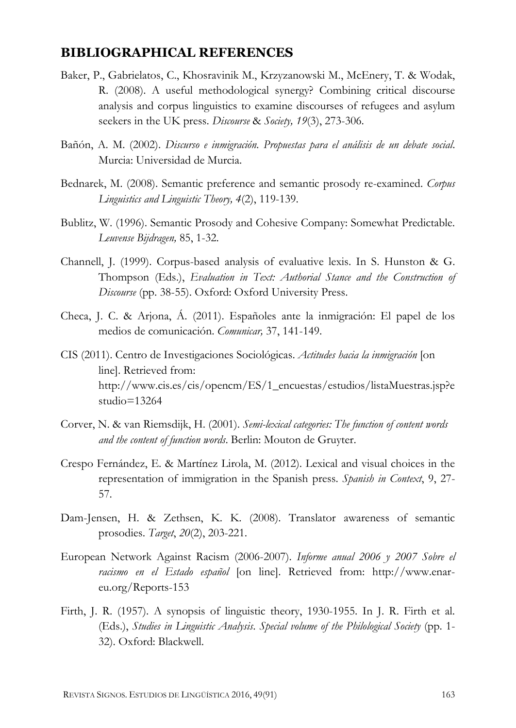#### **BIBLIOGRAPHICAL REFERENCES**

- Baker, P., Gabrielatos, C., Khosravinik M., Krzyzanowski M., McEnery, T. & Wodak, R. (2008). A useful methodological synergy? Combining critical discourse analysis and corpus linguistics to examine discourses of refugees and asylum seekers in the UK press. *Discourse* & *Society, 19*(3), 273-306.
- Bañón, A. M. (2002). *Discurso e inmigración. Propuestas para el análisis de un debate social*. Murcia: Universidad de Murcia.
- Bednarek, M. (2008). Semantic preference and semantic prosody re-examined. *Corpus Linguistics and Linguistic Theory, 4*(2), 119-139.
- Bublitz, W. (1996). Semantic Prosody and Cohesive Company: Somewhat Predictable. *Leuvense Bijdragen,* 85, 1-32.
- Channell, J. (1999). Corpus-based analysis of evaluative lexis. In S. Hunston & G. Thompson (Eds.), *Evaluation in Text: Authorial Stance and the Construction of Discourse* (pp. 38-55). Oxford: Oxford University Press.
- Checa, J. C. & Arjona, Á. (2011). Españoles ante la inmigración: El papel de los medios de comunicación. *Comunicar,* 37, 141-149.
- CIS (2011). Centro de Investigaciones Sociológicas. *Actitudes hacia la inmigración* [on line]. Retrieved from: [http://www.cis.es/cis/opencm/ES/1\\_encuestas/estudios/listaMuestras.jsp?e](http://www.cis.es/cis/opencm/ES/1_encuestas/estudios/listaMuestras.jsp?estudio=13264)  $studio = 13264$
- Corver, N. & van Riemsdijk, H. (2001). *Semi-lexical categories: The function of content words and the content of function words*. Berlin: Mouton de Gruyter.
- Crespo Fernández, E. & Martínez Lirola, M. (2012). Lexical and visual choices in the representation of immigration in the Spanish press. *Spanish in Context*, 9, 27- 57.
- Dam-Jensen, H. & Zethsen, K. K. (2008). Translator awareness of semantic prosodies. *Target*, *20*(2), 203-221.
- European Network Against Racism (2006-2007). *Informe anual 2006 y 2007 Sobre el racismo en el Estado español* [on line]. Retrieved from: [http://www.enar](http://www.enar-eu.org/Reports-153)[eu.org/Reports-153](http://www.enar-eu.org/Reports-153)
- Firth, J. R. (1957). A synopsis of linguistic theory, 1930-1955. In J. R. Firth et al. (Eds.), *Studies in Linguistic Analysis*. *Special volume of the Philological Society* (pp. 1- 32). Oxford: Blackwell.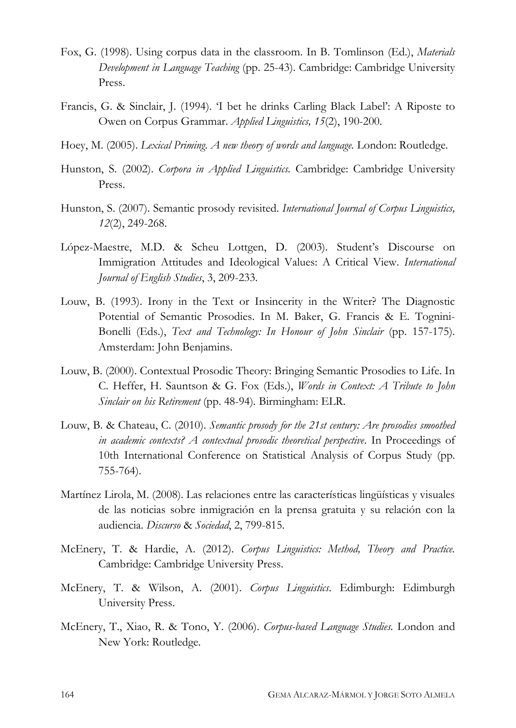- Fox, G. (1998). Using corpus data in the classroom. In B. Tomlinson (Ed.), *Materials Development in Language Teaching* (pp. 25-43). Cambridge: Cambridge University Press.
- Francis, G. & Sinclair, J. (1994). 'I bet he drinks Carling Black Label': A Riposte to Owen on Corpus Grammar. *Applied Linguistics, 15*(2), 190-200.
- Hoey, M. (2005). *Lexical Priming. A new theory of words and language.* London: Routledge.
- Hunston, S. (2002). *Corpora in Applied Linguistics.* Cambridge: Cambridge University Press.
- Hunston, S. (2007). Semantic prosody revisited. *International Journal of Corpus Linguistics, 12*(2), 249-268.
- López-Maestre, M.D. & Scheu Lottgen, D. (2003). Student's Discourse on Immigration Attitudes and Ideological Values: A Critical View. *International Journal of English Studies*, 3, 209-233.
- Louw, B. (1993). Irony in the Text or Insincerity in the Writer? The Diagnostic Potential of Semantic Prosodies. In M. Baker, G. Francis & E. Tognini-Bonelli (Eds.), *Text and Technology: In Honour of John Sinclair* (pp. 157-175). Amsterdam: John Benjamins.
- Louw, B. (2000). Contextual Prosodic Theory: Bringing Semantic Prosodies to Life. In C. Heffer, H. Sauntson & G. Fox (Eds.), *Words in Context: A Tribute to John Sinclair on his Retirement* (pp. 48-94)*.* Birmingham: ELR.
- Louw, B. & Chateau, C. (2010). *Semantic prosody for the 21st century: Are prosodies smoothed in academic contexts? A contextual prosodic theoretical perspective*. In Proceedings of 10th International Conference on Statistical Analysis of Corpus Study (pp. 755-764).
- Martínez Lirola, M. (2008). Las relaciones entre las características lingüísticas y visuales de las noticias sobre inmigración en la prensa gratuita y su relación con la audiencia. *Discurso* & *Sociedad*, 2, 799-815.
- McEnery, T. & Hardie, A. (2012). *Corpus Linguistics: Method, Theory and Practice.*  Cambridge: Cambridge University Press.
- McEnery, T. & Wilson, A. (2001). *Corpus Linguistics*. Edimburgh: Edimburgh University Press.
- McEnery, T., Xiao, R. & Tono, Y. (2006). *Corpus-based Language Studies.* London and New York: Routledge.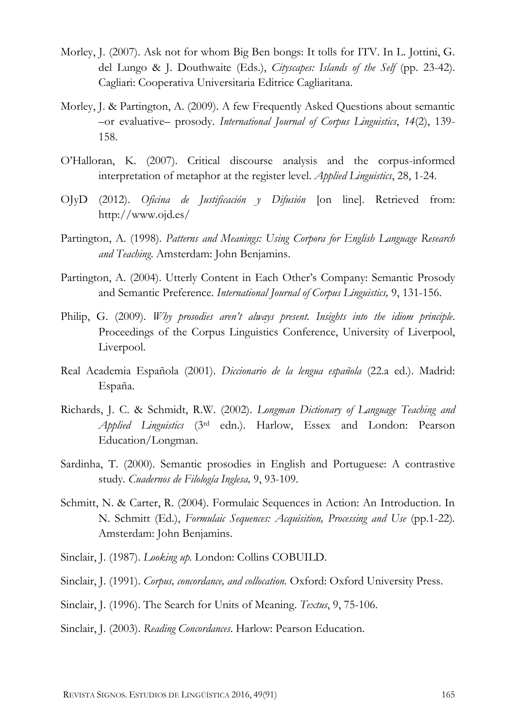- Morley, J. (2007). Ask not for whom Big Ben bongs: It tolls for ITV. In L. Jottini, G. del Lungo & J. Douthwaite (Eds.), *Cityscapes: Islands of the Self* (pp. 23-42). Cagliari: Cooperativa Universitaria Editrice Cagliaritana.
- Morley, J. & Partington, A. (2009). A few Frequently Asked Questions about semantic –or evaluative– prosody. *International Journal of Corpus Linguistics*, *14*(2), 139- 158.
- O'Halloran, K. (2007). Critical discourse analysis and the corpus-informed interpretation of metaphor at the register level. *Applied Linguistics*, 28, 1-24.
- OJyD (2012). *Oficina de Justificación y Difusión* [on line]. Retrieved from: <http://www.ojd.es/>
- Partington, A. (1998). *Patterns and Meanings: Using Corpora for English Language Research and Teaching*. Amsterdam: John Benjamins.
- Partington, A. (2004). Utterly Content in Each Other's Company: Semantic Prosody and Semantic Preference. *International Journal of Corpus Linguistics,* 9, 131-156.
- Philip, G. (2009). *Why prosodies aren't always present. Insights into the idiom principle*. Proceedings of the Corpus Linguistics Conference, University of Liverpool, Liverpool.
- Real Academia Española (2001). *Diccionario de la lengua española* (22.a ed.). Madrid: España.
- Richards, J. C. & Schmidt, R.W. (2002). *Longman Dictionary of Language Teaching and Applied Linguistics* (3rd edn.). Harlow, Essex and London: Pearson Education/Longman.
- Sardinha, T. (2000). Semantic prosodies in English and Portuguese: A contrastive study*. Cuadernos de Filología Inglesa,* 9, 93-109.
- Schmitt, N. & Carter, R. (2004). Formulaic Sequences in Action: An Introduction. In N. Schmitt (Ed.), *Formulaic Sequences: Acquisition, Processing and Use* (pp.1-22)*.* Amsterdam: John Benjamins.
- Sinclair, J. (1987). *Looking up.* London: Collins COBUILD.
- Sinclair, J. (1991). *Corpus, concordance, and collocation.* Oxford: Oxford University Press.
- Sinclair, J. (1996). The Search for Units of Meaning. *Textus*, 9, 75-106.
- Sinclair, J. (2003). *Reading Concordances*. Harlow: Pearson Education.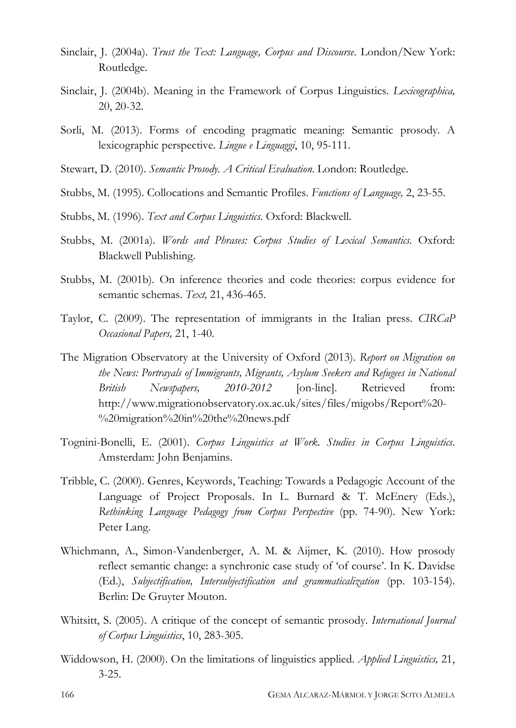- Sinclair, J. (2004a). *Trust the Text: Language, Corpus and Discourse*. London/New York: Routledge.
- Sinclair, J. (2004b). Meaning in the Framework of Corpus Linguistics. *Lexicographica,*  20, 20-32.
- Sorli, M. (2013). Forms of encoding pragmatic meaning: Semantic prosody. A lexicographic perspective. *Lingue e Linguaggi*, 10, 95-111.
- Stewart, D. (2010). *Semantic Prosody. A Critical Evaluation*. London: Routledge.
- Stubbs, M. (1995). Collocations and Semantic Profiles. *Functions of Language,* 2, 23-55.
- Stubbs, M. (1996). *Text and Corpus Linguistics.* Oxford: Blackwell.
- Stubbs, M. (2001a). *Words and Phrases: Corpus Studies of Lexical Semantics.* Oxford: Blackwell Publishing.
- Stubbs, M. (2001b). On inference theories and code theories: corpus evidence for semantic schemas. *Text,* 21, 436-465.
- Taylor, C. (2009). The representation of immigrants in the Italian press. *CIRCaP Occasional Papers,* 21, 1-40.
- The Migration Observatory at the University of Oxford (2013). *Report on Migration on the News: Portrayals of Immigrants, Migrants, Asylum Seekers and Refugees in National British Newspapers, 2010-2012* [on-line]. Retrieved from: [http://www.migrationobservatory.ox.ac.uk/sites/files/migobs/Report%20-](http://www.migrationobservatory.ox.ac.uk/sites/files/migobs/Report%20-%20migration%20in%20the%20news.pdf) [%20migration%20in%20the%20news.pdf](http://www.migrationobservatory.ox.ac.uk/sites/files/migobs/Report%20-%20migration%20in%20the%20news.pdf)
- Tognini-Bonelli, E. (2001). *Corpus Linguistics at Work. Studies in Corpus Linguistics*. Amsterdam: John Benjamins.
- Tribble, C. (2000). Genres, Keywords, Teaching: Towards a Pedagogic Account of the Language of Project Proposals. In L. Burnard & T. McEnery (Eds.), *Rethinking Language Pedagogy from Corpus Perspective* (pp. 74-90)*.* New York: Peter Lang.
- Whichmann, A., Simon-Vandenberger, A. M. & Aijmer, K. (2010). How prosody reflect semantic change: a synchronic case study of 'of course'. In K. Davidse (Ed.), *Subjectification, Intersubjectification and grammaticalization* (pp. 103-154). Berlin: De Gruyter Mouton.
- Whitsitt, S. (2005). A critique of the concept of semantic prosody. *International Journal of Corpus Linguistics*, 10, 283-305.
- Widdowson, H. (2000). On the limitations of linguistics applied. *Applied Linguistics,* 21, 3-25.